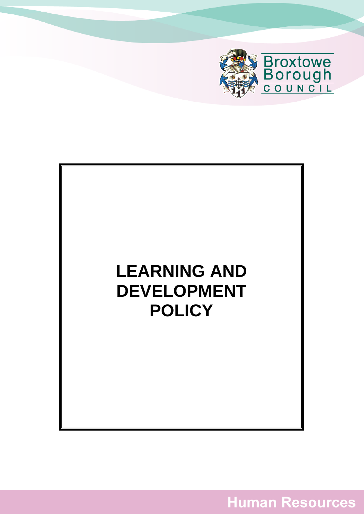



**Human Resources**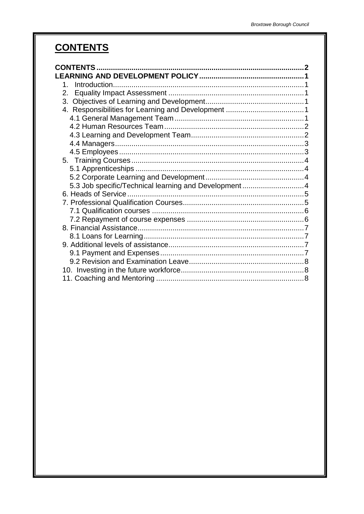# <span id="page-1-0"></span>**CONTENTS**

| 5.3 Job specific/Technical learning and Development4 |  |
|------------------------------------------------------|--|
|                                                      |  |
|                                                      |  |
|                                                      |  |
|                                                      |  |
|                                                      |  |
|                                                      |  |
|                                                      |  |
|                                                      |  |
|                                                      |  |
|                                                      |  |
|                                                      |  |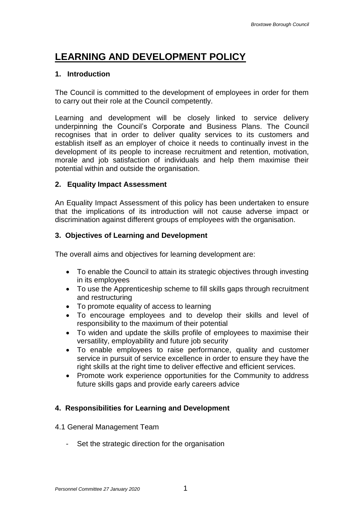# <span id="page-2-0"></span>**LEARNING AND DEVELOPMENT POLICY**

#### <span id="page-2-1"></span>**1. Introduction**

The Council is committed to the development of employees in order for them to carry out their role at the Council competently.

Learning and development will be closely linked to service delivery underpinning the Council's Corporate and Business Plans. The Council recognises that in order to deliver quality services to its customers and establish itself as an employer of choice it needs to continually invest in the development of its people to increase recruitment and retention, motivation, morale and job satisfaction of individuals and help them maximise their potential within and outside the organisation.

#### <span id="page-2-2"></span>**2. Equality Impact Assessment**

An Equality Impact Assessment of this policy has been undertaken to ensure that the implications of its introduction will not cause adverse impact or discrimination against different groups of employees with the organisation.

#### <span id="page-2-3"></span>**3. Objectives of Learning and Development**

The overall aims and objectives for learning development are:

- To enable the Council to attain its strategic objectives through investing in its employees
- To use the Apprenticeship scheme to fill skills gaps through recruitment and restructuring
- To promote equality of access to learning
- To encourage employees and to develop their skills and level of responsibility to the maximum of their potential
- To widen and update the skills profile of employees to maximise their versatility, employability and future job security
- To enable employees to raise performance, quality and customer service in pursuit of service excellence in order to ensure they have the right skills at the right time to deliver effective and efficient services.
- Promote work experience opportunities for the Community to address future skills gaps and provide early careers advice

#### <span id="page-2-4"></span>**4. Responsibilities for Learning and Development**

- <span id="page-2-5"></span>4.1 General Management Team
	- Set the strategic direction for the organisation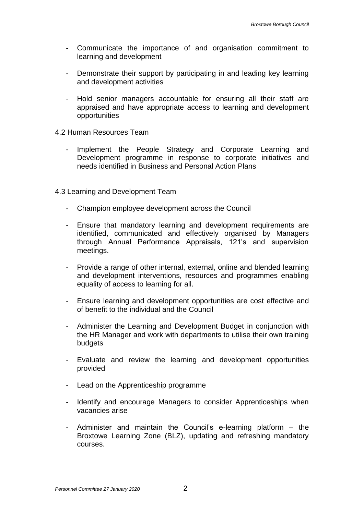- Communicate the importance of and organisation commitment to learning and development
- Demonstrate their support by participating in and leading key learning and development activities
- Hold senior managers accountable for ensuring all their staff are appraised and have appropriate access to learning and development opportunities
- <span id="page-3-0"></span>4.2 Human Resources Team
	- Implement the People Strategy and Corporate Learning and Development programme in response to corporate initiatives and needs identified in Business and Personal Action Plans
- <span id="page-3-1"></span>4.3 Learning and Development Team
	- Champion employee development across the Council
	- Ensure that mandatory learning and development requirements are identified, communicated and effectively organised by Managers through Annual Performance Appraisals, 121's and supervision meetings.
	- Provide a range of other internal, external, online and blended learning and development interventions, resources and programmes enabling equality of access to learning for all.
	- Ensure learning and development opportunities are cost effective and of benefit to the individual and the Council
	- Administer the Learning and Development Budget in conjunction with the HR Manager and work with departments to utilise their own training budgets
	- Evaluate and review the learning and development opportunities provided
	- Lead on the Apprenticeship programme
	- Identify and encourage Managers to consider Apprenticeships when vacancies arise
	- Administer and maintain the Council's e-learning platform the Broxtowe Learning Zone (BLZ), updating and refreshing mandatory courses.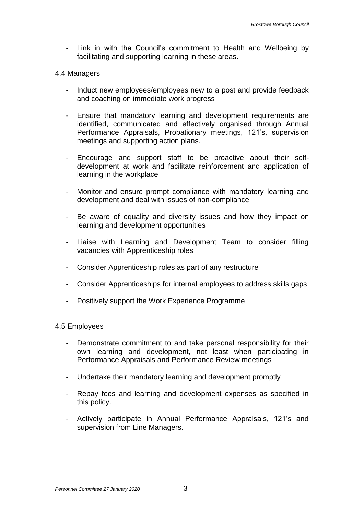Link in with the Council's commitment to Health and Wellbeing by facilitating and supporting learning in these areas.

#### <span id="page-4-0"></span>4.4 Managers

- Induct new employees/employees new to a post and provide feedback and coaching on immediate work progress
- Ensure that mandatory learning and development requirements are identified, communicated and effectively organised through Annual Performance Appraisals, Probationary meetings, 121's, supervision meetings and supporting action plans.
- Encourage and support staff to be proactive about their selfdevelopment at work and facilitate reinforcement and application of learning in the workplace
- Monitor and ensure prompt compliance with mandatory learning and development and deal with issues of non-compliance
- Be aware of equality and diversity issues and how they impact on learning and development opportunities
- Liaise with Learning and Development Team to consider filling vacancies with Apprenticeship roles
- Consider Apprenticeship roles as part of any restructure
- Consider Apprenticeships for internal employees to address skills gaps
- Positively support the Work Experience Programme

#### <span id="page-4-1"></span>4.5 Employees

- Demonstrate commitment to and take personal responsibility for their own learning and development, not least when participating in Performance Appraisals and Performance Review meetings
- Undertake their mandatory learning and development promptly
- Repay fees and learning and development expenses as specified in this policy.
- Actively participate in Annual Performance Appraisals, 121's and supervision from Line Managers.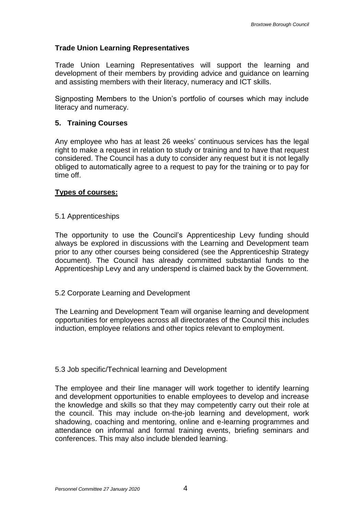# **Trade Union Learning Representatives**

Trade Union Learning Representatives will support the learning and development of their members by providing advice and guidance on learning and assisting members with their literacy, numeracy and ICT skills.

Signposting Members to the Union's portfolio of courses which may include literacy and numeracy.

# <span id="page-5-0"></span>**5. Training Courses**

Any employee who has at least 26 weeks' continuous services has the legal right to make a request in relation to study or training and to have that request considered. The Council has a duty to consider any request but it is not legally obliged to automatically agree to a request to pay for the training or to pay for time off.

# **Types of courses:**

#### <span id="page-5-1"></span>5.1 Apprenticeships

The opportunity to use the Council's Apprenticeship Levy funding should always be explored in discussions with the Learning and Development team prior to any other courses being considered (see the Apprenticeship Strategy document). The Council has already committed substantial funds to the Apprenticeship Levy and any underspend is claimed back by the Government.

#### <span id="page-5-2"></span>5.2 Corporate Learning and Development

The Learning and Development Team will organise learning and development opportunities for employees across all directorates of the Council this includes induction, employee relations and other topics relevant to employment.

#### <span id="page-5-3"></span>5.3 Job specific/Technical learning and Development

The employee and their line manager will work together to identify learning and development opportunities to enable employees to develop and increase the knowledge and skills so that they may competently carry out their role at the council. This may include on-the-job learning and development, work shadowing, coaching and mentoring, online and e-learning programmes and attendance on informal and formal training events, briefing seminars and conferences. This may also include blended learning.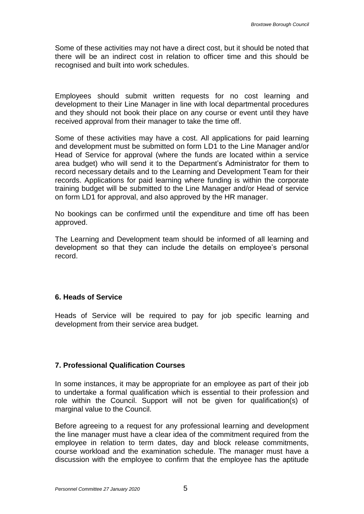Some of these activities may not have a direct cost, but it should be noted that there will be an indirect cost in relation to officer time and this should be recognised and built into work schedules.

Employees should submit written requests for no cost learning and development to their Line Manager in line with local departmental procedures and they should not book their place on any course or event until they have received approval from their manager to take the time off.

Some of these activities may have a cost. All applications for paid learning and development must be submitted on form LD1 to the Line Manager and/or Head of Service for approval (where the funds are located within a service area budget) who will send it to the Department's Administrator for them to record necessary details and to the Learning and Development Team for their records. Applications for paid learning where funding is within the corporate training budget will be submitted to the Line Manager and/or Head of service on form LD1 for approval, and also approved by the HR manager.

No bookings can be confirmed until the expenditure and time off has been approved.

The Learning and Development team should be informed of all learning and development so that they can include the details on employee's personal record.

# <span id="page-6-0"></span>**6. Heads of Service**

Heads of Service will be required to pay for job specific learning and development from their service area budget.

# <span id="page-6-1"></span>**7. Professional Qualification Courses**

In some instances, it may be appropriate for an employee as part of their job to undertake a formal qualification which is essential to their profession and role within the Council. Support will not be given for qualification(s) of marginal value to the Council.

Before agreeing to a request for any professional learning and development the line manager must have a clear idea of the commitment required from the employee in relation to term dates, day and block release commitments, course workload and the examination schedule. The manager must have a discussion with the employee to confirm that the employee has the aptitude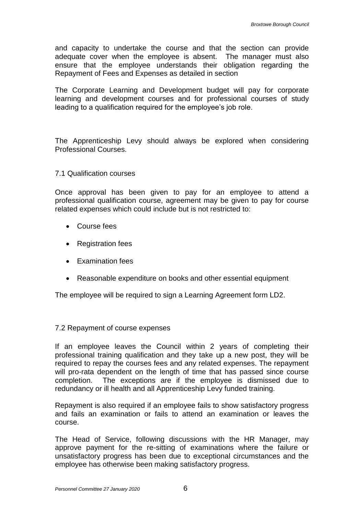and capacity to undertake the course and that the section can provide adequate cover when the employee is absent. The manager must also ensure that the employee understands their obligation regarding the Repayment of Fees and Expenses as detailed in section

The Corporate Learning and Development budget will pay for corporate learning and development courses and for professional courses of study leading to a qualification required for the employee's job role.

The Apprenticeship Levy should always be explored when considering Professional Courses.

#### <span id="page-7-0"></span>7.1 Qualification courses

Once approval has been given to pay for an employee to attend a professional qualification course, agreement may be given to pay for course related expenses which could include but is not restricted to:

- Course fees
- Registration fees
- Examination fees
- Reasonable expenditure on books and other essential equipment

The employee will be required to sign a Learning Agreement form LD2.

#### <span id="page-7-1"></span>7.2 Repayment of course expenses

If an employee leaves the Council within 2 years of completing their professional training qualification and they take up a new post, they will be required to repay the courses fees and any related expenses. The repayment will pro-rata dependent on the length of time that has passed since course completion. The exceptions are if the employee is dismissed due to redundancy or ill health and all Apprenticeship Levy funded training.

Repayment is also required if an employee fails to show satisfactory progress and fails an examination or fails to attend an examination or leaves the course.

The Head of Service, following discussions with the HR Manager, may approve payment for the re-sitting of examinations where the failure or unsatisfactory progress has been due to exceptional circumstances and the employee has otherwise been making satisfactory progress.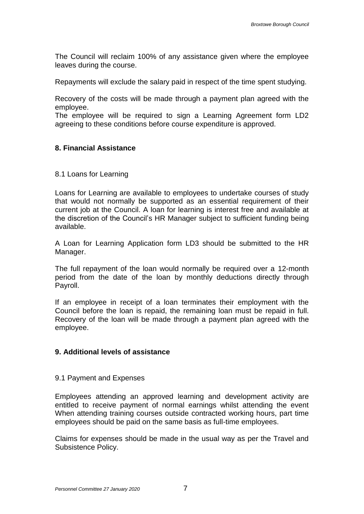The Council will reclaim 100% of any assistance given where the employee leaves during the course.

Repayments will exclude the salary paid in respect of the time spent studying.

Recovery of the costs will be made through a payment plan agreed with the employee.

The employee will be required to sign a Learning Agreement form LD2 agreeing to these conditions before course expenditure is approved.

#### <span id="page-8-0"></span>**8. Financial Assistance**

#### <span id="page-8-1"></span>8.1 Loans for Learning

Loans for Learning are available to employees to undertake courses of study that would not normally be supported as an essential requirement of their current job at the Council. A loan for learning is interest free and available at the discretion of the Council's HR Manager subject to sufficient funding being available.

A Loan for Learning Application form LD3 should be submitted to the HR Manager.

The full repayment of the loan would normally be required over a 12-month period from the date of the loan by monthly deductions directly through Payroll.

If an employee in receipt of a loan terminates their employment with the Council before the loan is repaid, the remaining loan must be repaid in full. Recovery of the loan will be made through a payment plan agreed with the employee.

#### <span id="page-8-2"></span>**9. Additional levels of assistance**

#### <span id="page-8-3"></span>9.1 Payment and Expenses

Employees attending an approved learning and development activity are entitled to receive payment of normal earnings whilst attending the event When attending training courses outside contracted working hours, part time employees should be paid on the same basis as full-time employees.

Claims for expenses should be made in the usual way as per the Travel and Subsistence Policy.